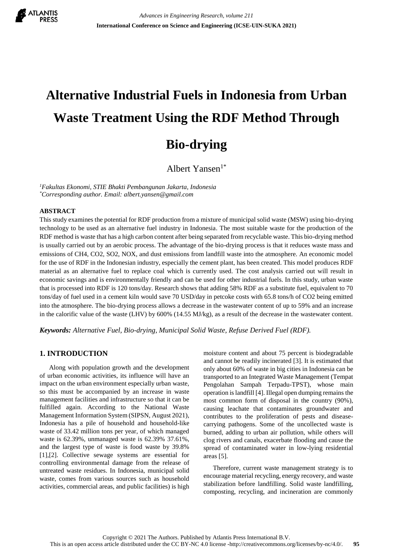

# **Alternative Industrial Fuels in Indonesia from Urban Waste Treatment Using the RDF Method Through Bio-drying**

Albert Yansen $1^*$ 

*<sup>1</sup>Fakultas Ekonomi, STIE Bhakti Pembangunan Jakarta, Indonesia \*Corresponding author. Email: albert.yansen@gmail.com*

#### **ABSTRACT**

This study examines the potential for RDF production from a mixture of municipal solid waste (MSW) using bio-drying technology to be used as an alternative fuel industry in Indonesia. The most suitable waste for the production of the RDF method is waste that has a high carbon content after being separated from recyclable waste. This bio-drying method is usually carried out by an aerobic process. The advantage of the bio-drying process is that it reduces waste mass and emissions of CH4, CO2, SO2, NOX, and dust emissions from landfill waste into the atmosphere. An economic model for the use of RDF in the Indonesian industry, especially the cement plant, has been created. This model produces RDF material as an alternative fuel to replace coal which is currently used. The cost analysis carried out will result in economic savings and is environmentally friendly and can be used for other industrial fuels. In this study, urban waste that is processed into RDF is 120 tons/day. Research shows that adding 58% RDF as a substitute fuel, equivalent to 70 tons/day of fuel used in a cement kiln would save 70 USD/day in petcoke costs with 65.8 tons/h of CO2 being emitted into the atmosphere. The bio-drying process allows a decrease in the wastewater content of up to 59% and an increase in the calorific value of the waste (LHV) by 600% (14.55 MJ/kg), as a result of the decrease in the wastewater content.

*Keywords: Alternative Fuel, Bio-drying, Municipal Solid Waste, Refuse Derived Fuel (RDF).*

## **1. INTRODUCTION**

Along with population growth and the development of urban economic activities, its influence will have an impact on the urban environment especially urban waste, so this must be accompanied by an increase in waste management facilities and infrastructure so that it can be fulfilled again. According to the National Waste Management Information System (SIPSN, August 2021), Indonesia has a pile of household and household-like waste of 33.42 million tons per year, of which managed waste is 62.39%, unmanaged waste is 62.39% 37.61%, and the largest type of waste is food waste by 39.8% [1],[2]. Collective sewage systems are essential for controlling environmental damage from the release of untreated waste residues. In Indonesia, municipal solid waste, comes from various sources such as household activities, commercial areas, and public facilities) is high moisture content and about 75 percent is biodegradable and cannot be readily incinerated [3]. It is estimated that only about 60% of waste in big cities in Indonesia can be transported to an Integrated Waste Management (Tempat Pengolahan Sampah Terpadu-TPST), whose main operation is landfill [4]. Illegal open dumping remains the most common form of disposal in the country (90%), causing leachate that contaminates groundwater and contributes to the proliferation of pests and diseasecarrying pathogens. Some of the uncollected waste is burned, adding to urban air pollution, while others will clog rivers and canals, exacerbate flooding and cause the spread of contaminated water in low-lying residential areas [5].

Therefore, current waste management strategy is to encourage material recycling, energy recovery, and waste stabilization before landfilling. Solid waste landfilling, composting, recycling, and incineration are commonly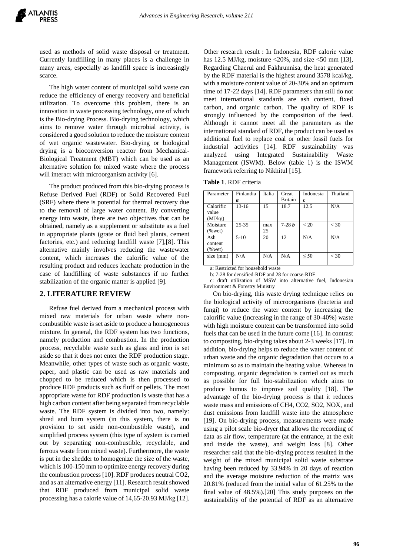used as methods of solid waste disposal or treatment. Currently landfilling in many places is a challenge in many areas, especially as landfill space is increasingly scarce.

The high water content of municipal solid waste can reduce the efficiency of energy recovery and beneficial utilization. To overcome this problem, there is an innovation in waste processing technology, one of which is the Bio-drying Process. Bio-drying technology, which aims to remove water through microbial activity, is considered a good solution to reduce the moisture content of wet organic wastewater. Bio-drying or biological drying is a bioconversion reactor from Mechanical-Biological Treatment (MBT) which can be used as an alternative solution for mixed waste where the process will interact with microorganism activity [6].

The product produced from this bio-drying process is Refuse Derived Fuel (RDF) or Solid Recovered Fuel (SRF) where there is potential for thermal recovery due to the removal of large water content. By converting energy into waste, there are two objectives that can be obtained, namely as a supplement or substitute as a fuel in appropriate plants (grate or fluid bed plants, cement factories, etc.) and reducing landfill waste [7],[8]. This alternative mainly involves reducing the wastewater content, which increases the calorific value of the resulting product and reduces leachate production in the case of landfilling of waste substances if no further stabilization of the organic matter is applied [9].

#### **2. LITERATURE REVIEW**

Refuse fuel derived from a mechanical process with mixed raw materials for urban waste where noncombustible waste is set aside to produce a homogeneous mixture. In general, the RDF system has two functions, namely production and combustion. In the production process, recyclable waste such as glass and iron is set aside so that it does not enter the RDF production stage. Meanwhile, other types of waste such as organic waste, paper, and plastic can be used as raw materials and chopped to be reduced which is then processed to produce RDF products such as fluff or pellets. The most appropriate waste for RDF production is waste that has a high carbon content after being separated from recyclable waste. The RDF system is divided into two, namely: shred and burn system (in this system, there is no provision to set aside non-combustible waste), and simplified process system (this type of system is carried out by separating non-combustible, recyclable, and ferrous waste from mixed waste). Furthermore, the waste is put in the shedder to homogenize the size of the waste, which is 100-150 mm to optimize energy recovery during the combustion process [10]. RDF produces neutral CO2, and as an alternative energy [11]. Research result showed that RDF produced from municipal solid waste processing has a calorie value of 14,65-20.93 MJ/kg [12].

Other research result : In Indonesia, RDF calorie value has 12.5 MJ/kg, moisture <20%, and size <50 mm [13], Regarding Chaerul and Fakhrunnisa, the heat generated by the RDF material is the highest around 3578 kcal/kg, with a moisture content value of 20-30% and an optimum time of 17-22 days [14]. RDF parameters that still do not meet international standards are ash content, fixed carbon, and organic carbon. The quality of RDF is strongly influenced by the composition of the feed. Although it cannot meet all the parameters as the international standard of RDF, the product can be used as additional fuel to replace coal or other fossil fuels for industrial activities [14]. RDF sustainability was analyzed using Integrated Sustainability Waste Management (ISWM). Below (table 1) is the ISWM framework referring to Nikhitul [15].

| Parameter  | Finlandia | Italia | Great      | Indonesia        | Thailand |
|------------|-----------|--------|------------|------------------|----------|
|            | a         |        | Britain    | $\boldsymbol{c}$ |          |
| Calorific  | $13-16$   | 15     | 18.7       | 12.5             | N/A      |
| value      |           |        |            |                  |          |
| (MJ/kg)    |           |        |            |                  |          |
| Moisture   | $25 - 35$ | max    | $7 - 28 b$ | < 20             | $<$ 30   |
| $(\%$ wet) |           | 25     |            |                  |          |
| Ash        | $5-10$    | 20     | 12         | N/A              | N/A      |
| content    |           |        |            |                  |          |
| $(\%$ wet) |           |        |            |                  |          |
| size (mm)  | N/A       | N/A    | N/A        | $\leq 50$        | $<$ 30   |
|            |           |        |            |                  |          |

a: Restricted for household waste

b: 7-28 for densified-RDF and 28 for coarse-RDF

c: draft utilization of MSW into alternative fuel, Indonesian Environment & Forestry Ministry

On bio-drying, this waste drying technique relies on the biological activity of microorganisms (bacteria and fungi) to reduce the water content by increasing the calorific value (increasing in the range of 30-40%) waste with high moisture content can be transformed into solid fuels that can be used in the future come [16]. In contrast to composting, bio-drying takes about 2-3 weeks [17]. In addition, bio-drying helps to reduce the water content of urban waste and the organic degradation that occurs to a minimum so as to maintain the heating value. Whereas in composting, organic degradation is carried out as much as possible for full bio-stabilization which aims to produce humus to improve soil quality [18]. The advantage of the bio-drying process is that it reduces waste mass and emissions of CH4, CO2, SO2, NOX, and dust emissions from landfill waste into the atmosphere [19]. On bio-drying process, measurements were made using a pilot scale bio-dryer that allows the recording of data as air flow, temperature (at the entrance, at the exit and inside the waste), and weight loss [8]. Other researcher said that the bio-drying process resulted in the weight of the mixed municipal solid waste substrate having been reduced by 33.94% in 20 days of reaction and the average moisture reduction of the matrix was 20.81% (reduced from the initial value of 61.25% to the final value of 48.5%).[20] This study purposes on the sustainability of the potential of RDF as an alternative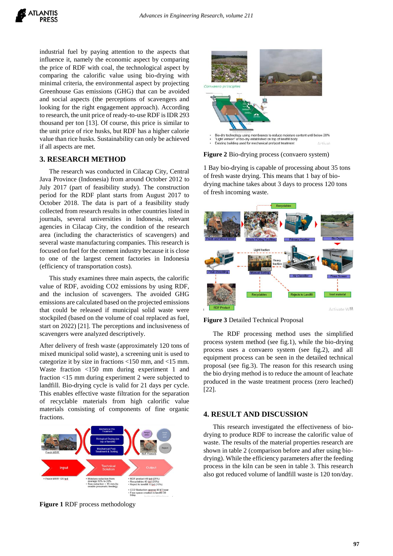industrial fuel by paying attention to the aspects that influence it, namely the economic aspect by comparing the price of RDF with coal, the technological aspect by comparing the calorific value using bio-drying with minimal criteria, the environmental aspect by projecting Greenhouse Gas emissions (GHG) that can be avoided and social aspects (the perceptions of scavengers and looking for the right engagement approach). According to research, the unit price of ready-to-use RDF is IDR 293 thousand per ton [13]. Of course, this price is similar to the unit price of rice husks, but RDF has a higher calorie value than rice husks. Sustainability can only be achieved if all aspects are met.

## **3. RESEARCH METHOD**

The research was conducted in Cilacap City, Central Java Province (Indonesia) from around October 2012 to July 2017 (part of feasibility study). The construction period for the RDF plant starts from August 2017 to October 2018. The data is part of a feasibility study collected from research results in other countries listed in journals, several universities in Indonesia, relevant agencies in Cilacap City, the condition of the research area (including the characteristics of scavengers) and several waste manufacturing companies. This research is focused on fuel for the cement industry because it is close to one of the largest cement factories in Indonesia (efficiency of transportation costs).

This study examines three main aspects, the calorific value of RDF, avoiding CO2 emissions by using RDF, and the inclusion of scavengers. The avoided GHG emissions are calculated based on the projected emissions that could be released if municipal solid waste were stockpiled (based on the volume of coal replaced as fuel, start on 2022) [21]. The perceptions and inclusiveness of scavengers were analyzed descriptively.

After delivery of fresh waste (approximately 120 tons of mixed municipal solid waste), a screening unit is used to categorize it by size in fractions <150 mm, and <15 mm. Waste fraction <150 mm during experiment 1 and fraction <15 mm during experiment 2 were subjected to landfill. Bio-drying cycle is valid for 21 days per cycle. This enables effective waste filtration for the separation of recyclable materials from high calorific value materials consisting of components of fine organic fractions.



**Figure 1** RDF process methodology



**Figure 2** Bio-drying process (convaero system)

1 Bay bio-drying is capable of processing about 35 tons of fresh waste drying. This means that 1 bay of biodrying machine takes about 3 days to process 120 tons of fresh incoming waste.



**Figure 3** Detailed Technical Proposal

The RDF processing method uses the simplified process system method (see fig.1), while the bio-drying process uses a convaero system (see fig.2), and all equipment process can be seen in the detailed technical proposal (see fig.3). The reason for this research using the bio drying method is to reduce the amount of leachate produced in the waste treatment process (zero leached) [22].

## **4. RESULT AND DISCUSSION**

This research investigated the effectiveness of biodrying to produce RDF to increase the calorific value of waste. The results of the material properties research are shown in table 2 (comparison before and after using biodrying). While the efficiency parameters after the feeding process in the kiln can be seen in table 3. This research also got reduced volume of landfill waste is 120 ton/day.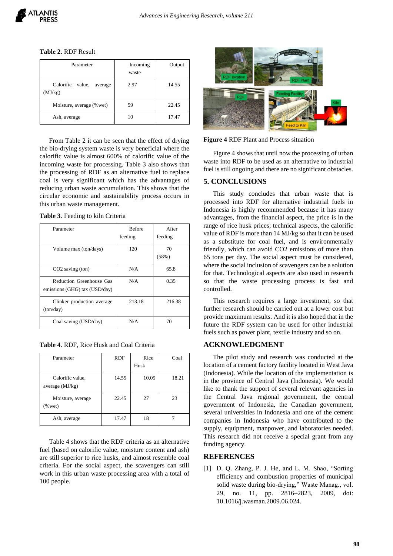**Table 2**. RDF Result

| Parameter                                 | Incoming<br>waste | Output |
|-------------------------------------------|-------------------|--------|
| Calorific<br>value,<br>average<br>(MJ/kg) | 2.97              | 14.55  |
| Moisture, average (% wet)                 | 59                | 22.45  |
| Ash, average                              |                   | 17.47  |

From Table 2 it can be seen that the effect of drying the bio-drying system waste is very beneficial where the calorific value is almost 600% of calorific value of the incoming waste for processing. Table 3 also shows that the processing of RDF as an alternative fuel to replace coal is very significant which has the advantages of reducing urban waste accumulation. This shows that the circular economic and sustainability process occurs in this urban waste management.

| Parameter                                                 | <b>Before</b><br>feeding | After<br>feeding |
|-----------------------------------------------------------|--------------------------|------------------|
| Volume max (ton/days)                                     | 120                      | 70<br>(58%)      |
| $CO2$ saving $(ton)$                                      | N/A                      | 65.8             |
| Reduction Greenhouse Gas<br>emissions (GHG) tax (USD/day) | N/A                      | 0.35             |
| Clinker production average<br>(ton/day)                   | 213.18                   | 216.38           |
| Coal saving (USD/day)                                     | N/A                      | 70               |

| <b>Table 4. RDF, Rice Husk and Coal Criteria</b> |  |  |  |  |
|--------------------------------------------------|--|--|--|--|
|--------------------------------------------------|--|--|--|--|

| Parameter                             | <b>RDF</b> | Rice<br>Husk | Coal  |
|---------------------------------------|------------|--------------|-------|
| Calorific value,<br>average $(MJ/kg)$ | 14.55      | 10.05        | 18.21 |
| Moisture, average<br>% wet)           | 22.45      | 27           | 23    |
| Ash, average                          | 17.47      | 18           |       |

Table 4 shows that the RDF criteria as an alternative fuel (based on calorific value, moisture content and ash) are still superior to rice husks, and almost resemble coal criteria. For the social aspect, the scavengers can still work in this urban waste processing area with a total of 100 people.



**Figure 4** RDF Plant and Process situation

Figure 4 shows that until now the processing of urban waste into RDF to be used as an alternative to industrial fuel is still ongoing and there are no significant obstacles.

#### **5. CONCLUSIONS**

This study concludes that urban waste that is processed into RDF for alternative industrial fuels in Indonesia is highly recommended because it has many advantages, from the financial aspect, the price is in the range of rice husk prices; technical aspects, the calorific value of RDF is more than 14 MJ/kg so that it can be used as a substitute for coal fuel, and is environmentally friendly, which can avoid CO2 emissions of more than 65 tons per day. The social aspect must be considered, where the social inclusion of scavengers can be a solution for that. Technological aspects are also used in research so that the waste processing process is fast and controlled.

This research requires a large investment, so that further research should be carried out at a lower cost but provide maximum results. And it is also hoped that in the future the RDF system can be used for other industrial fuels such as power plant, textile industry and so on.

### **ACKNOWLEDGMENT**

The pilot study and research was conducted at the location of a cement factory facility located in West Java (Indonesia). While the location of the implementation is in the province of Central Java (Indonesia). We would like to thank the support of several relevant agencies in the Central Java regional government, the central government of Indonesia, the Canadian government, several universities in Indonesia and one of the cement companies in Indonesia who have contributed to the supply, equipment, manpower, and laboratories needed. This research did not receive a special grant from any funding agency.

## **REFERENCES**

[1] D. Q. Zhang, P. J. He, and L. M. Shao, "Sorting efficiency and combustion properties of municipal solid waste during bio-drying," Waste Manag., vol. 29, no. 11, pp. 2816–2823, 2009, doi: 10.1016/j.wasman.2009.06.024.